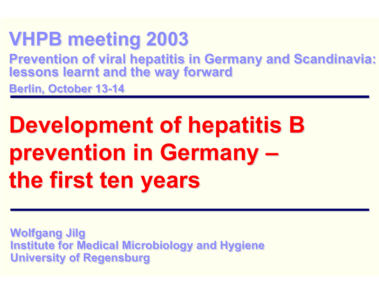## **VHPB meeting 2003 VHPB meeting 2003**

**Prevention of viral hepatitis in Germany and Scandinavia: lessons learnt and the way forward Prevention of viral hepatitis in Germany and Scandinavia: lessons learnt and the way forward**

**Berlin, October 13-14 Berlin, October 13-14**

# **Development of hepatitis B Development of hepatitis B prevention in Germany – prevention in Germany – the first ten years the first ten years**

**Wolfgang Jilg Wolfgang Jilg Institute for Medical Microbiology and Hygiene Institute for Medical Microbiology and Hygiene University of Regensburg University of Regensburg**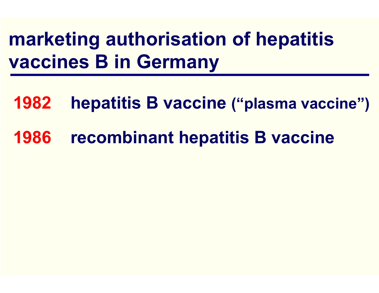# **marketing authorisation of hepatitis vaccines B in Germany**

- **1982hepatitis B vaccine ("plasma vaccine")**
- **1986recombinant hepatitis B vaccine**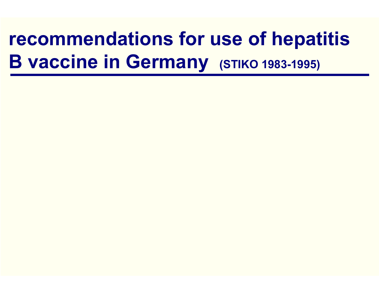### **recommendations for use of hepatitis B vaccine in Germany (STIKO 1983-1995)**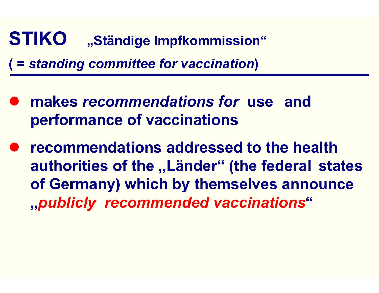### **STIKO** "Ständige Impfkommission" **( =** *standing committee for vaccination***)**

- $\bullet$  **makes** *recommendations for* **use and performance of vaccinations**
- $\bullet$  **recommendations addressed to the health authorities of the "Länder" (the federal states of Germany) which by themselves announce "***publicly recommended vaccinations***"**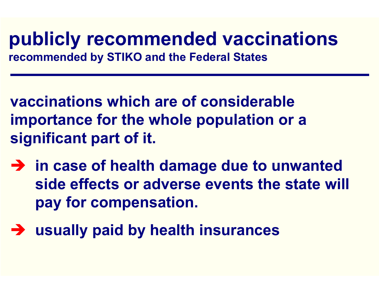#### **publicly recommended vaccinations recommended by STIKO and the Federal States**

**vaccinations which are of considerable importance for the whole population or <sup>a</sup> significant part of it.**

- $\rightarrow$  in case of health damage due to unwanted **side effects or adverse events the state will pay for compensation.**
- $\rightarrow$  **usually paid by health insurances**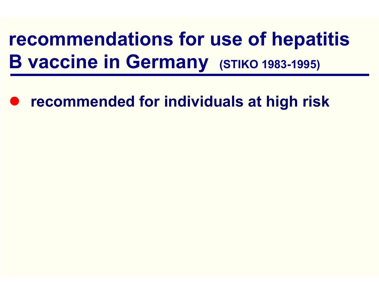# **recommendations for use of hepatitis B vaccine in Germany (STIKO 1983-1995)**

 $\bullet$ **recommended for individuals at high risk**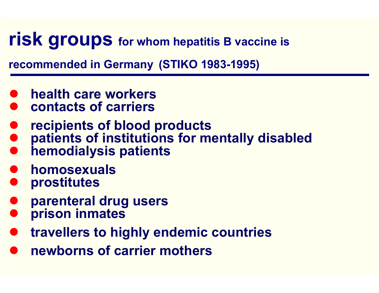#### **risk groups** for whom hepatitis B vaccine is

**recommended in Germany (STIKO 1983-1995)**

- $\bullet$ **health care workers**
- $\bullet$ **contacts of carriers**
- $\bullet$ **recipients of blood products**
- $\bullet$ **patients of institutions for mentally disabled**
- $\bullet$ **hemodialysis patients**
- $\bullet$ **homosexuals**
- $\bullet$ **prostitutes**
- $\bullet$ **parenteral drug users**
- $\bullet$ **prison inmates**
- $\bullet$ **travellers to highly endemic countries**
- $\bullet$ **newborns of carrier mothers**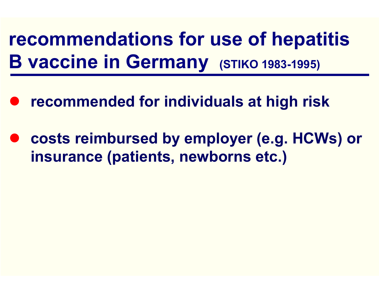**recommendations for use of hepatitis B vaccine in Germany (STIKO 1983-1995)**

- $\bullet$ **recommended for individuals at high risk**
- $\bullet$  **costs reimbursed by employer (e.g. HCWs) or insurance (patients, newborns etc.)**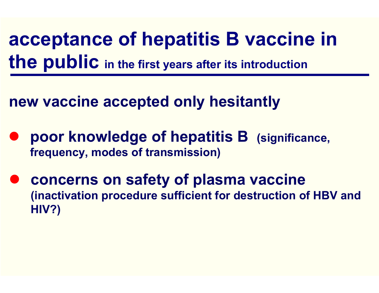**acceptance of hepatitis B vaccine in the public in the first years after its introduction**

**new vaccine accepted only hesitantly**

- $\bullet$  **poor knowledge of hepatitis B (significance, frequency, modes of transmission)**
- $\bullet$  **concerns on safety of plasma vaccine (inactivation procedure sufficient for destruction of HBV and HIV?)**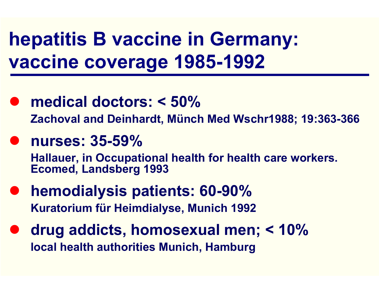# **hepatitis B vaccine in Germany: vaccine coverage 1985-1992**

- **medical doctors: < 50% Zachoval and Deinhardt, Münch Med Wschr1988; 19:363-366**
- z **nurses: 35-59%**

**Hallauer, in Occupational health for health care workers. Ecomed, Landsberg 1993** 

- $\bullet$  **hemodialysis patients: 60-90% Kuratorium für Heimdialyse, Munich 1992**
- $\bullet$  **drug addicts, homosexual men; < 10% local health authorities Munich, Hamburg**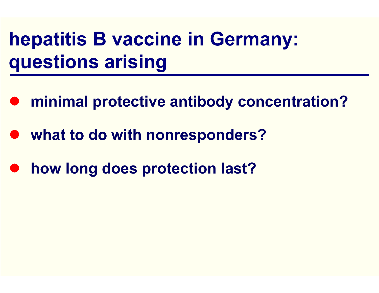# **hepatitis B vaccine in Germany: questions arising**

- $\bullet$ **minimal protective antibody concentration?**
- $\bullet$ **what to do with nonresponders?**
- $\bullet$ **how long does protection last?**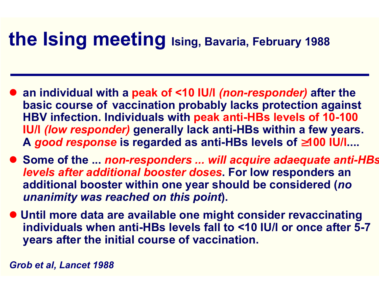### **the Ising meeting Ising, Bavaria, February 1988**

- an individual with a peak of <10 IU/I *(non-responder)* after the **basic course of vaccination probably lacks protection against HBV infection. Individuals with peak anti-HBs levels of 10-100 IU/l** *(low responder)* **generally lack anti-HBs within a few years. A** *good response* **is regarded as anti-HBs levels of** ≥**100 IU/l....**
- Some of the ... *non-responders ... will acquire adaequate anti-HBs levels after additional booster doses***. For low responders an additional booster within one year should be considered (***no unanimity was reached on this point***).**
- **Until more data are available one might consider revaccinating individuals when anti-HBs levels fall to <10 IU/l or once after 5-7 years after the initial course of vaccination.**

*Grob et al, Lancet 1988*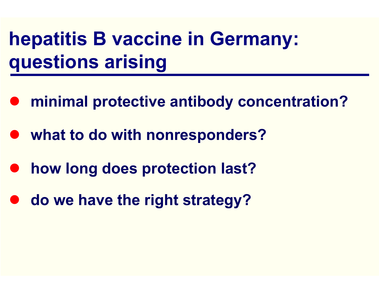# **hepatitis B vaccine in Germany: questions arising**

- $\bullet$ **minimal protective antibody concentration?**
- $\bullet$ **what to do with nonresponders?**
- $\bullet$ **how long does protection last?**
- $\bullet$ **do we have the right strategy?**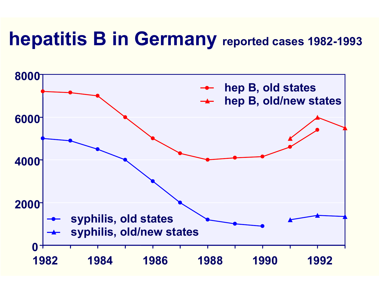### **hepatitis B in Germany reported cases 1982-1993**

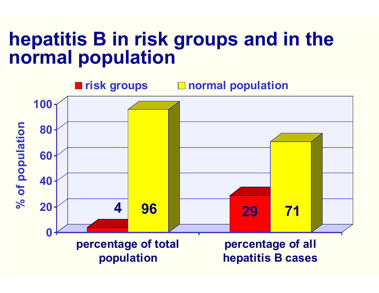### **hepatitis B in risk groups and in the normal population**

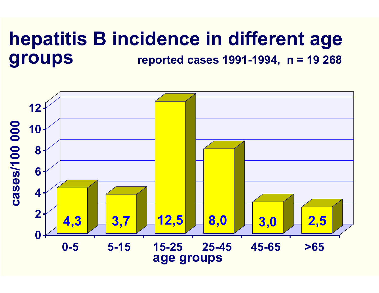#### **hepatitis B incidence in different age groups reported cases 1991-1994, n = 19 268**

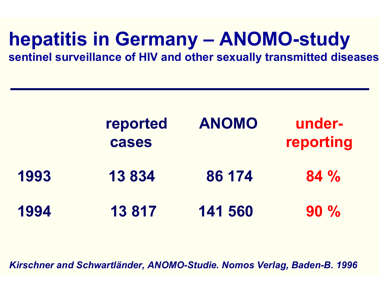# **hepatitis in Germany – ANOMO-study**

**sentinel surveillance of HIV and other sexually transmitted diseases**

|      | reported<br>cases | <b>ANOMO</b> | under-<br>reporting |
|------|-------------------|--------------|---------------------|
| 1993 | 13 834            | 86 174       | $84\%$              |
| 1994 | 13 817            | 141 560      | $90\%$              |

*Kirschner and Schwartländer, ANOMO-Studie. Nomos Verlag, Baden-B. 1996*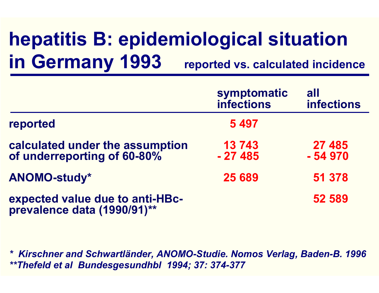# **hepatitis B: epidemiological situation in Germany 1993 reported vs. calculated incidence**

|                                                                | symptomatic<br><b>infections</b> | all<br><b>infections</b> |
|----------------------------------------------------------------|----------------------------------|--------------------------|
| reported                                                       | 5 4 9 7                          |                          |
| calculated under the assumption<br>of underreporting of 60-80% | 13743<br>$-27485$                | 27 485<br>$-54970$       |
| <b>ANOMO-study*</b>                                            | 25 689                           | 51 378                   |
| expected value due to anti-HBc-<br>prevalence data (1990/91)** |                                  | 52 589                   |

*\* Kirschner and Schwartländer, ANOMO-Studie. Nomos Verlag, Baden-B. 1996 \*\*Thefeld et al Bundesgesundhbl 1994; 37: 374-377*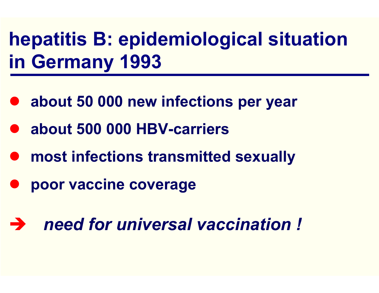# **hepatitis B: epidemiological situation in Germany 1993**

- **about 50 000 new infections per year**
- z **about 500 000 HBV-carriers**
- $\bullet$ **most infections transmitted sexually**
- $\bullet$ **poor vaccine coverage**
- Î *need for universal vaccination !*